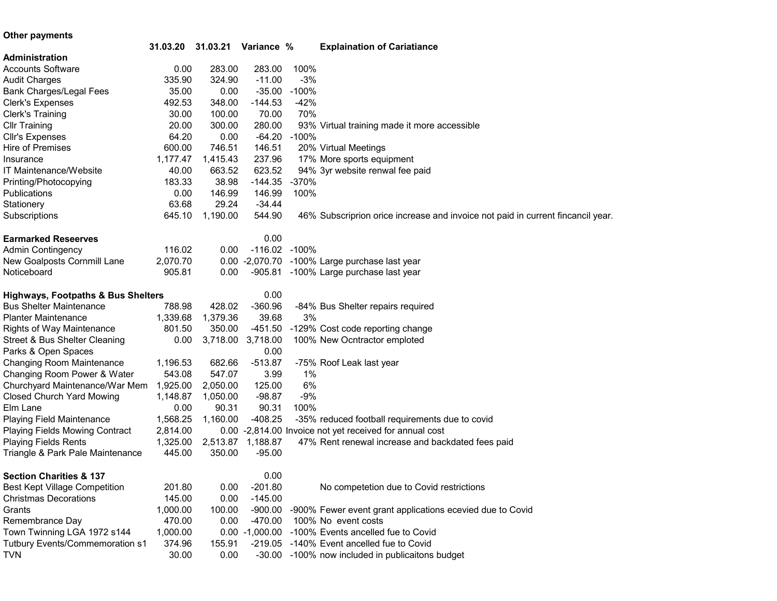## Other payments

| <b>Explaination of Cariatiance</b>                                                                                               |  |
|----------------------------------------------------------------------------------------------------------------------------------|--|
| <b>Administration</b>                                                                                                            |  |
| 283.00<br><b>Accounts Software</b><br>0.00<br>283.00<br>100%                                                                     |  |
| 335.90<br>324.90<br>$-11.00$<br>$-3%$<br><b>Audit Charges</b>                                                                    |  |
| $-100%$<br>Bank Charges/Legal Fees<br>35.00<br>$-35.00$<br>0.00                                                                  |  |
| $-42%$<br>Clerk's Expenses<br>492.53<br>348.00<br>$-144.53$                                                                      |  |
| <b>Clerk's Training</b><br>30.00<br>100.00<br>70.00<br>70%                                                                       |  |
| 20.00<br><b>Cllr Training</b><br>300.00<br>280.00<br>93% Virtual training made it more accessible                                |  |
| 64.20<br>-64.20 -100%<br><b>Cllr's Expenses</b><br>0.00                                                                          |  |
| Hire of Premises<br>600.00<br>746.51<br>146.51<br>20% Virtual Meetings                                                           |  |
| 237.96<br>1,177.47<br>1,415.43<br>17% More sports equipment<br>Insurance                                                         |  |
| 40.00<br>663.52<br>623.52<br>94% 3yr website renwal fee paid<br><b>IT Maintenance/Website</b>                                    |  |
| Printing/Photocopying<br>183.33<br>38.98<br>$-144.35$<br>$-370%$                                                                 |  |
| Publications<br>0.00<br>146.99<br>146.99<br>100%                                                                                 |  |
| 63.68<br>29.24<br>$-34.44$<br>Stationery                                                                                         |  |
| 645.10<br>1,190.00<br>544.90<br>46% Subscriprion orice increase and invoice not paid in current fincancil year.<br>Subscriptions |  |
|                                                                                                                                  |  |
| 0.00<br><b>Earmarked Reseerves</b>                                                                                               |  |
| -116.02 -100%<br>116.02<br>0.00<br><b>Admin Contingency</b>                                                                      |  |
| New Goalposts Cornmill Lane<br>2,070.70<br>0.00 -2,070.70 -100% Large purchase last year                                         |  |
| Noticeboard<br>905.81<br>0.00<br>-905.81 -100% Large purchase last year                                                          |  |
|                                                                                                                                  |  |
| 0.00<br><b>Highways, Footpaths &amp; Bus Shelters</b>                                                                            |  |
| 788.98<br>$-360.96$<br><b>Bus Shelter Maintenance</b><br>428.02<br>-84% Bus Shelter repairs required                             |  |
| 1,379.36<br>39.68<br>3%<br><b>Planter Maintenance</b><br>1,339.68                                                                |  |
| 801.50<br>350.00<br>-129% Cost code reporting change<br><b>Rights of Way Maintenance</b><br>-451.50                              |  |
| Street & Bus Shelter Cleaning<br>0.00<br>3,718.00<br>3,718.00<br>100% New Ocntractor emploted                                    |  |
| Parks & Open Spaces<br>0.00                                                                                                      |  |
| Changing Room Maintenance<br>1,196.53<br>682.66<br>$-513.87$<br>-75% Roof Leak last year                                         |  |
| Changing Room Power & Water<br>543.08<br>547.07<br>3.99<br>$1\%$                                                                 |  |
| 6%<br>Churchyard Maintenance/War Mem<br>1,925.00<br>2,050.00<br>125.00                                                           |  |
| <b>Closed Church Yard Mowing</b><br>1,148.87<br>1,050.00<br>$-98.87$<br>$-9%$                                                    |  |
| 0.00<br>90.31<br>90.31<br>100%<br>Elm Lane                                                                                       |  |
| 1,568.25<br>1,160.00<br>$-408.25$<br>-35% reduced football requirements due to covid<br><b>Playing Field Maintenance</b>         |  |
| <b>Playing Fields Mowing Contract</b><br>2,814.00<br>0.00 -2,814.00 Invoice not yet received for annual cost                     |  |
| 1,188.87<br><b>Playing Fields Rents</b><br>1,325.00<br>2,513.87<br>47% Rent renewal increase and backdated fees paid             |  |
| 445.00<br>350.00<br>$-95.00$<br>Triangle & Park Pale Maintenance                                                                 |  |
|                                                                                                                                  |  |
| 0.00<br><b>Section Charities &amp; 137</b>                                                                                       |  |
| <b>Best Kept Village Competition</b><br>201.80<br>0.00<br>$-201.80$<br>No competetion due to Covid restrictions                  |  |
| <b>Christmas Decorations</b><br>145.00<br>0.00<br>$-145.00$                                                                      |  |
| Grants<br>1,000.00<br>100.00<br>-900.00 -900% Fewer event grant applications ecevied due to Covid                                |  |
| Remembrance Day<br>470.00<br>0.00<br>$-470.00$<br>100% No event costs                                                            |  |
| Town Twinning LGA 1972 s144<br>1,000.00<br>0.00 -1,000.00 -100% Events ancelled fue to Covid                                     |  |
| Tutbury Events/Commemoration s1<br>374.96<br>-219.05 -140% Event ancelled fue to Covid<br>155.91                                 |  |
| 30.00<br>0.00<br>-30.00 -100% now included in publicaitons budget<br><b>TVN</b>                                                  |  |